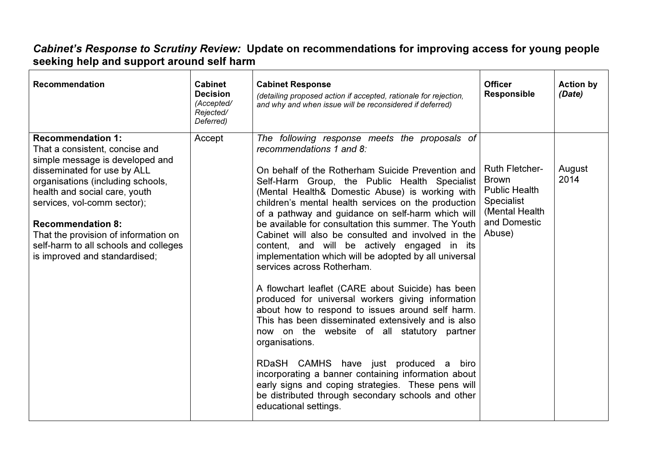## *Cabinet's Response to Scrutiny Review:* Update on recommendations for improving access for young people<br>seeking help and support around self harm

| <b>Recommendation</b>                                                                                                                                                                                                                                                                                                                                                           | <b>Cabinet</b><br><b>Decision</b><br>(Accepted/<br>Rejected/<br>Deferred) | <b>Cabinet Response</b><br>(detailing proposed action if accepted, rationale for rejection,<br>and why and when issue will be reconsidered if deferred)                                                                                                                                                                                                                                                                                                                                                                                                                                                                                                                                                                                                                                                                                                                                                                                                                                                                                                                                                                       | <b>Officer</b><br><b>Responsible</b>                                                                                           | <b>Action by</b><br>(Date) |
|---------------------------------------------------------------------------------------------------------------------------------------------------------------------------------------------------------------------------------------------------------------------------------------------------------------------------------------------------------------------------------|---------------------------------------------------------------------------|-------------------------------------------------------------------------------------------------------------------------------------------------------------------------------------------------------------------------------------------------------------------------------------------------------------------------------------------------------------------------------------------------------------------------------------------------------------------------------------------------------------------------------------------------------------------------------------------------------------------------------------------------------------------------------------------------------------------------------------------------------------------------------------------------------------------------------------------------------------------------------------------------------------------------------------------------------------------------------------------------------------------------------------------------------------------------------------------------------------------------------|--------------------------------------------------------------------------------------------------------------------------------|----------------------------|
| <b>Recommendation 1:</b><br>That a consistent, concise and<br>simple message is developed and<br>disseminated for use by ALL<br>organisations (including schools,<br>health and social care, youth<br>services, vol-comm sector);<br><b>Recommendation 8:</b><br>That the provision of information on<br>self-harm to all schools and colleges<br>is improved and standardised; | Accept                                                                    | The following response meets the proposals of<br>recommendations 1 and 8:<br>On behalf of the Rotherham Suicide Prevention and<br>Self-Harm Group, the Public Health Specialist<br>(Mental Health& Domestic Abuse) is working with<br>children's mental health services on the production<br>of a pathway and guidance on self-harm which will<br>be available for consultation this summer. The Youth<br>Cabinet will also be consulted and involved in the<br>content, and will be actively engaged in its<br>implementation which will be adopted by all universal<br>services across Rotherham.<br>A flowchart leaflet (CARE about Suicide) has been<br>produced for universal workers giving information<br>about how to respond to issues around self harm.<br>This has been disseminated extensively and is also<br>now on the website of all statutory partner<br>organisations.<br>RDaSH CAMHS have just produced a biro<br>incorporating a banner containing information about<br>early signs and coping strategies. These pens will<br>be distributed through secondary schools and other<br>educational settings. | <b>Ruth Fletcher-</b><br><b>Brown</b><br><b>Public Health</b><br><b>Specialist</b><br>(Mental Health<br>and Domestic<br>Abuse) | August<br>2014             |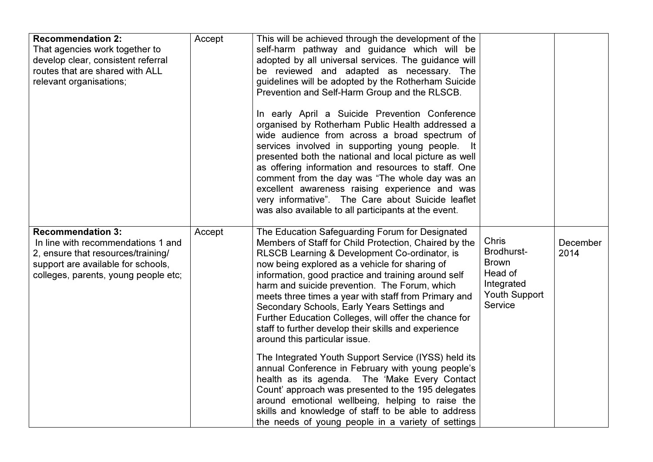| <b>Recommendation 2:</b><br>That agencies work together to<br>develop clear, consistent referral<br>routes that are shared with ALL<br>relevant organisations;                     | Accept | This will be achieved through the development of the<br>self-harm pathway and guidance which will be<br>adopted by all universal services. The guidance will<br>be reviewed and adapted as necessary. The<br>guidelines will be adopted by the Rotherham Suicide<br>Prevention and Self-Harm Group and the RLSCB.<br>In early April a Suicide Prevention Conference<br>organised by Rotherham Public Health addressed a<br>wide audience from across a broad spectrum of<br>services involved in supporting young people.<br>- It<br>presented both the national and local picture as well<br>as offering information and resources to staff. One<br>comment from the day was "The whole day was an<br>excellent awareness raising experience and was<br>very informative". The Care about Suicide leaflet<br>was also available to all participants at the event.                                                                                                |                                                                                                 |                  |
|------------------------------------------------------------------------------------------------------------------------------------------------------------------------------------|--------|-------------------------------------------------------------------------------------------------------------------------------------------------------------------------------------------------------------------------------------------------------------------------------------------------------------------------------------------------------------------------------------------------------------------------------------------------------------------------------------------------------------------------------------------------------------------------------------------------------------------------------------------------------------------------------------------------------------------------------------------------------------------------------------------------------------------------------------------------------------------------------------------------------------------------------------------------------------------|-------------------------------------------------------------------------------------------------|------------------|
| <b>Recommendation 3:</b><br>In line with recommendations 1 and<br>2, ensure that resources/training/<br>support are available for schools,<br>colleges, parents, young people etc; | Accept | The Education Safeguarding Forum for Designated<br>Members of Staff for Child Protection, Chaired by the<br>RLSCB Learning & Development Co-ordinator, is<br>now being explored as a vehicle for sharing of<br>information, good practice and training around self<br>harm and suicide prevention. The Forum, which<br>meets three times a year with staff from Primary and<br>Secondary Schools, Early Years Settings and<br>Further Education Colleges, will offer the chance for<br>staff to further develop their skills and experience<br>around this particular issue.<br>The Integrated Youth Support Service (IYSS) held its<br>annual Conference in February with young people's<br>health as its agenda. The 'Make Every Contact<br>Count' approach was presented to the 195 delegates<br>around emotional wellbeing, helping to raise the<br>skills and knowledge of staff to be able to address<br>the needs of young people in a variety of settings | <b>Chris</b><br>Brodhurst-<br><b>Brown</b><br>Head of<br>Integrated<br>Youth Support<br>Service | December<br>2014 |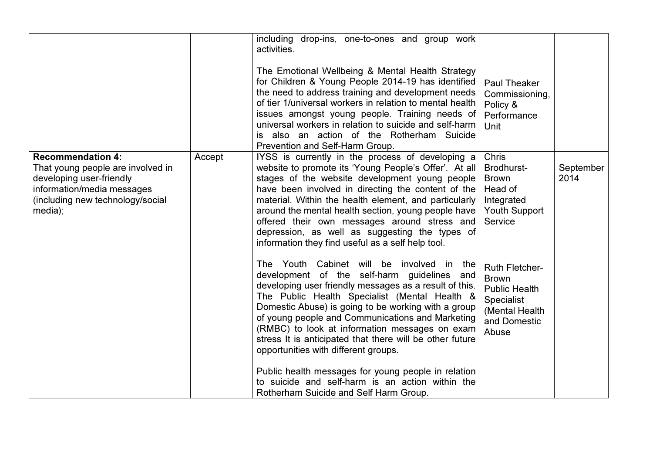|                                                                                                                                                                        |        | including drop-ins, one-to-ones and group work<br>activities.<br>The Emotional Wellbeing & Mental Health Strategy<br>for Children & Young People 2014-19 has identified<br>the need to address training and development needs<br>of tier 1/universal workers in relation to mental health<br>issues amongst young people. Training needs of<br>universal workers in relation to suicide and self-harm<br>also an action of the Rotherham Suicide<br>IS<br>Prevention and Self-Harm Group. | <b>Paul Theaker</b><br>Commissioning,<br>Policy &<br>Performance<br>Unit                                               |                   |
|------------------------------------------------------------------------------------------------------------------------------------------------------------------------|--------|-------------------------------------------------------------------------------------------------------------------------------------------------------------------------------------------------------------------------------------------------------------------------------------------------------------------------------------------------------------------------------------------------------------------------------------------------------------------------------------------|------------------------------------------------------------------------------------------------------------------------|-------------------|
| <b>Recommendation 4:</b><br>That young people are involved in<br>developing user-friendly<br>information/media messages<br>(including new technology/social<br>media); | Accept | IYSS is currently in the process of developing a<br>website to promote its 'Young People's Offer'. At all<br>stages of the website development young people<br>have been involved in directing the content of the<br>material. Within the health element, and particularly<br>around the mental health section, young people have<br>offered their own messages around stress and<br>depression, as well as suggesting the types of<br>information they find useful as a self help tool.  | <b>Chris</b><br>Brodhurst-<br><b>Brown</b><br>Head of<br>Integrated<br><b>Youth Support</b><br>Service                 | September<br>2014 |
|                                                                                                                                                                        |        | The Youth Cabinet will be involved in<br>the<br>development of the self-harm guidelines and<br>developing user friendly messages as a result of this.<br>The Public Health Specialist (Mental Health &<br>Domestic Abuse) is going to be working with a group<br>of young people and Communications and Marketing<br>(RMBC) to look at information messages on exam<br>stress It is anticipated that there will be other future<br>opportunities with different groups.                   | <b>Ruth Fletcher-</b><br><b>Brown</b><br><b>Public Health</b><br>Specialist<br>(Mental Health<br>and Domestic<br>Abuse |                   |
|                                                                                                                                                                        |        | Public health messages for young people in relation<br>to suicide and self-harm is an action within the<br>Rotherham Suicide and Self Harm Group.                                                                                                                                                                                                                                                                                                                                         |                                                                                                                        |                   |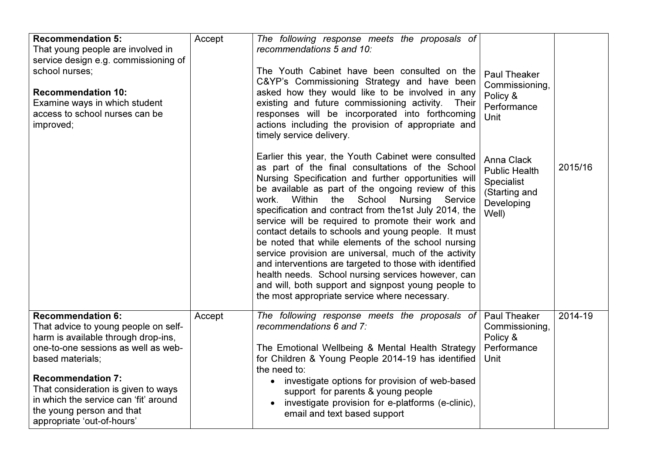| <b>Recommendation 5:</b><br>That young people are involved in<br>service design e.g. commissioning of<br>school nurses:<br><b>Recommendation 10:</b><br>Examine ways in which student<br>access to school nurses can be<br>improved;                                                                                                      | Accept | The following response meets the proposals of<br>recommendations 5 and 10:<br>The Youth Cabinet have been consulted on the<br>C&YP's Commissioning Strategy and have been<br>asked how they would like to be involved in any<br>existing and future commissioning activity.<br>Their<br>responses will be incorporated into forthcoming<br>actions including the provision of appropriate and<br>timely service delivery.                                                                                                                                                                                                                                                                                                                                                                   | Paul Theaker<br>Commissioning,<br>Policy &<br>Performance<br><b>Unit</b>                        |         |
|-------------------------------------------------------------------------------------------------------------------------------------------------------------------------------------------------------------------------------------------------------------------------------------------------------------------------------------------|--------|---------------------------------------------------------------------------------------------------------------------------------------------------------------------------------------------------------------------------------------------------------------------------------------------------------------------------------------------------------------------------------------------------------------------------------------------------------------------------------------------------------------------------------------------------------------------------------------------------------------------------------------------------------------------------------------------------------------------------------------------------------------------------------------------|-------------------------------------------------------------------------------------------------|---------|
|                                                                                                                                                                                                                                                                                                                                           |        | Earlier this year, the Youth Cabinet were consulted<br>as part of the final consultations of the School<br>Nursing Specification and further opportunities will<br>be available as part of the ongoing review of this<br>School Nursing<br>Within<br>the<br>Service<br>work.<br>specification and contract from the1st July 2014, the<br>service will be required to promote their work and<br>contact details to schools and young people. It must<br>be noted that while elements of the school nursing<br>service provision are universal, much of the activity<br>and interventions are targeted to those with identified<br>health needs. School nursing services however, can<br>and will, both support and signpost young people to<br>the most appropriate service where necessary. | Anna Clack<br><b>Public Health</b><br><b>Specialist</b><br>(Starting and<br>Developing<br>Well) | 2015/16 |
| <b>Recommendation 6:</b><br>That advice to young people on self-<br>harm is available through drop-ins,<br>one-to-one sessions as well as web-<br>based materials;<br><b>Recommendation 7:</b><br>That consideration is given to ways<br>in which the service can 'fit' around<br>the young person and that<br>appropriate 'out-of-hours' | Accept | The following response meets the proposals of<br>recommendations 6 and 7:<br>The Emotional Wellbeing & Mental Health Strategy<br>for Children & Young People 2014-19 has identified<br>the need to:<br>investigate options for provision of web-based<br>support for parents & young people<br>investigate provision for e-platforms (e-clinic),<br>email and text based support                                                                                                                                                                                                                                                                                                                                                                                                            | <b>Paul Theaker</b><br>Commissioning,<br>Policy &<br>Performance<br>Unit                        | 2014-19 |